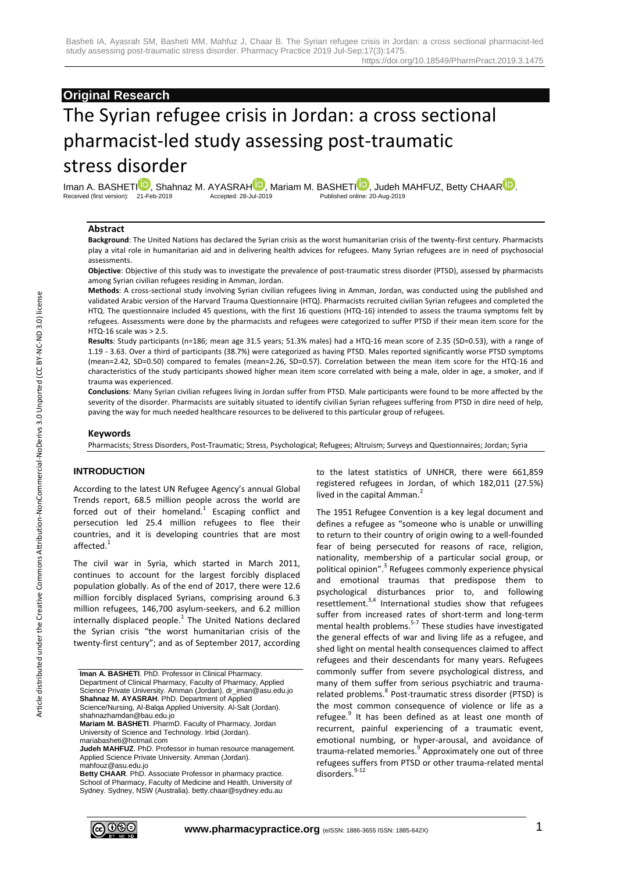## **Original Research**

# The Syrian refugee crisis in Jordan: a cross sectional pharmacist-led study assessing post-traumatic stress disorder

[I](http://orcid.org/0000-0002-7394-3363)man A. BAS[H](http://orcid.org/0000-0002-6362-7156)ETI<sup>D</sup>, Shahnaz M[.](http://orcid.org/0000-0001-8757-9403) AYASRAH<sup>D</sup>, Mariam M. BASHETI<sup>D</sup>, Judeh MAHFUZ, Betty CHAAR<sup>D</sup>.<br>Received (first version): 21-Feb-2019 Accepted: 28-Jul-2019 Published online: 20-Aug-2019 Received (first version): 21-Feb-2019

#### **Abstract**

**Background**: The United Nations has declared the Syrian crisis as the worst humanitarian crisis of the twenty-first century. Pharmacists play a vital role in humanitarian aid and in delivering health advices for refugees. Many Syrian refugees are in need of psychosocial assessments.

**Objective**: Objective of this study was to investigate the prevalence of post-traumatic stress disorder (PTSD), assessed by pharmacists among Syrian civilian refugees residing in Amman, Jordan.

**Methods**: A cross-sectional study involving Syrian civilian refugees living in Amman, Jordan, was conducted using the published and validated Arabic version of the Harvard Trauma Questionnaire (HTQ). Pharmacists recruited civilian Syrian refugees and completed the HTQ. The questionnaire included 45 questions, with the first 16 questions (HTQ-16) intended to assess the trauma symptoms felt by refugees. Assessments were done by the pharmacists and refugees were categorized to suffer PTSD if their mean item score for the HTQ-16 scale was > 2.5.

**Results**: Study participants (n=186; mean age 31.5 years; 51.3% males) had a HTQ-16 mean score of 2.35 (SD=0.53), with a range of 1.19 - 3.63. Over a third of participants (38.7%) were categorized as having PTSD. Males reported significantly worse PTSD symptoms (mean=2.42, SD=0.50) compared to females (mean=2.26, SD=0.57). Correlation between the mean item score for the HTQ-16 and characteristics of the study participants showed higher mean item score correlated with being a male, older in age, a smoker, and if trauma was experienced.

**Conclusions**: Many Syrian civilian refugees living in Jordan suffer from PTSD. Male participants were found to be more affected by the severity of the disorder. Pharmacists are suitably situated to identify civilian Syrian refugees suffering from PTSD in dire need of help, paving the way for much needed healthcare resources to be delivered to this particular group of refugees.

#### **Keywords**

Pharmacists; Stress Disorders, Post-Traumatic; Stress, Psychological; Refugees; Altruism; Surveys and Questionnaires; Jordan; Syria

## **INTRODUCTION**

According to the latest UN Refugee Agency's annual Global Trends report, 68.5 million people across the world are forced out of their homeland. $1$  Escaping conflict and persecution led 25.4 million refugees to flee their countries, and it is developing countries that are most affected.<sup>1</sup>

The civil war in Syria, which started in March 2011, continues to account for the largest forcibly displaced population globally. As of the end of 2017, there were 12.6 million forcibly displaced Syrians, comprising around 6.3 million refugees, 146,700 asylum-seekers, and 6.2 million internally displaced people.<sup>1</sup> The United Nations declared the Syrian crisis "the worst humanitarian crisis of the twenty-first century"; and as of September 2017, according

**Mariam M. BASHETI**. PharmD. Faculty of Pharmacy, Jordan University of Science and Technology. Irbid (Jordan). mariabasheti@hotmail.com

to the latest statistics of UNHCR, there were 661,859 registered refugees in Jordan, of which 182,011 (27.5%) lived in the capital Amman.<sup>2</sup>

The 1951 Refugee Convention is a key legal document and defines a refugee as "someone who is unable or unwilling to return to their country of origin owing to a well-founded fear of being persecuted for reasons of race, religion, nationality, membership of a particular social group, or political opinion".<sup>3</sup> Refugees commonly experience physical and emotional traumas that predispose them to psychological disturbances prior to, and following resettlement.3,4 International studies show that refugees suffer from increased rates of short-term and long-term mental health problems.<sup>5-7</sup> These studies have investigated the general effects of war and living life as a refugee, and shed light on mental health consequences claimed to affect refugees and their descendants for many years. Refugees commonly suffer from severe psychological distress, and many of them suffer from serious psychiatric and traumarelated problems.<sup>8</sup> Post-traumatic stress disorder (PTSD) is the most common consequence of violence or life as a refugee.<sup>9</sup> It has been defined as at least one month of recurrent, painful experiencing of a traumatic event, emotional numbing, or hyper-arousal, and avoidance of trauma-related memories.<sup>9</sup> Approximately one out of three refugees suffers from PTSD or other trauma-related mental disorders.<sup>9-12</sup>



**Iman A. BASHETI**. PhD. Professor in Clinical Pharmacy Department of Clinical Pharmacy, Faculty of Pharmacy, Applied Science Private University. Amman (Jordan). dr\_iman@asu.edu.jo **Shahnaz M. AYASRAH**. PhD. Department of Applied Science/Nursing, Al-Balqa Applied University. Al-Salt (Jordan). shahnazhamdan@bau.edu.jo

**Judeh MAHFUZ**. PhD. Professor in human resource management. Applied Science Private University. Amman (Jordan). mahfouz@asu.edu.jo

**Betty CHAAR**. PhD. Associate Professor in pharmacy practice. School of Pharmacy, Faculty of Medicine and Health, University of Sydney. Sydney, NSW (Australia). betty.chaar@sydney.edu.au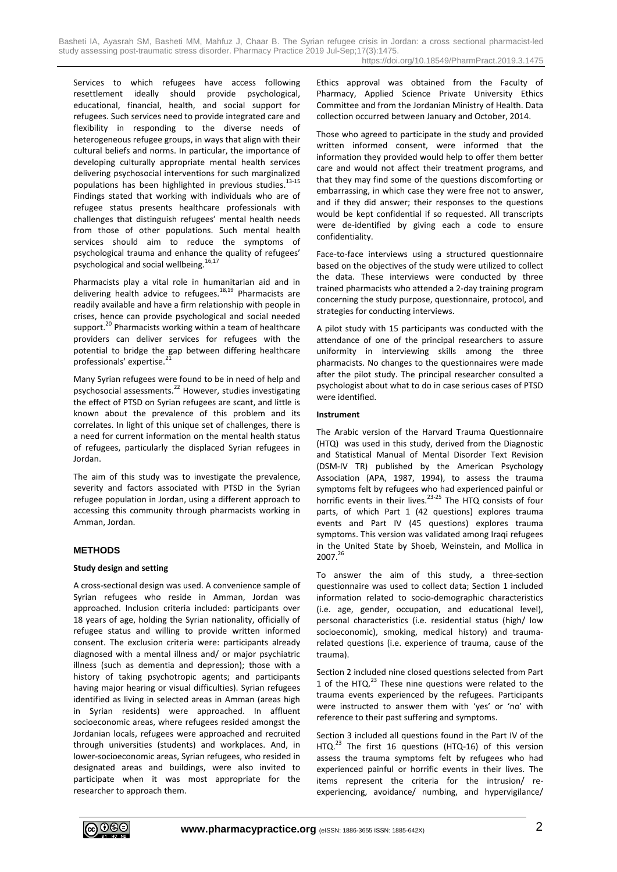Services to which refugees have access following resettlement ideally should provide psychological, educational, financial, health, and social support for refugees. Such services need to provide integrated care and flexibility in responding to the diverse needs of heterogeneous refugee groups, in ways that align with their cultural beliefs and norms. In particular, the importance of developing culturally appropriate mental health services delivering psychosocial interventions for such marginalized populations has been highlighted in previous studies.<sup>13-15</sup> Findings stated that working with individuals who are of refugee status presents healthcare professionals with challenges that distinguish refugees' mental health needs from those of other populations. Such mental health services should aim to reduce the symptoms of psychological trauma and enhance the quality of refugees' psychological and social wellbeing. $16,17$ 

Pharmacists play a vital role in humanitarian aid and in delivering health advice to refugees.<sup>18,19</sup> Pharmacists are readily available and have a firm relationship with people in crises, hence can provide psychological and social needed support.<sup>20</sup> Pharmacists working within a team of healthcare providers can deliver services for refugees with the potential to bridge the gap between differing healthcare professionals' expertise.<sup>21</sup>

Many Syrian refugees were found to be in need of help and psychosocial assessments.<sup>22</sup> However, studies investigating the effect of PTSD on Syrian refugees are scant, and little is known about the prevalence of this problem and its correlates. In light of this unique set of challenges, there is a need for current information on the mental health status of refugees, particularly the displaced Syrian refugees in Jordan.

The aim of this study was to investigate the prevalence, severity and factors associated with PTSD in the Syrian refugee population in Jordan, using a different approach to accessing this community through pharmacists working in Amman, Jordan.

## **METHODS**

#### **Study design and setting**

A cross-sectional design was used. A convenience sample of Syrian refugees who reside in Amman, Jordan was approached. Inclusion criteria included: participants over 18 years of age, holding the Syrian nationality, officially of refugee status and willing to provide written informed consent. The exclusion criteria were: participants already diagnosed with a mental illness and/ or major psychiatric illness (such as dementia and depression); those with a history of taking psychotropic agents; and participants having major hearing or visual difficulties). Syrian refugees identified as living in selected areas in Amman (areas high in Syrian residents) were approached. In affluent socioeconomic areas, where refugees resided amongst the Jordanian locals, refugees were approached and recruited through universities (students) and workplaces. And, in lower-socioeconomic areas, Syrian refugees, who resided in designated areas and buildings, were also invited to participate when it was most appropriate for the researcher to approach them.

Ethics approval was obtained from the Faculty of Pharmacy, Applied Science Private University Ethics Committee and from the Jordanian Ministry of Health. Data collection occurred between January and October, 2014.

Those who agreed to participate in the study and provided written informed consent, were informed that the information they provided would help to offer them better care and would not affect their treatment programs, and that they may find some of the questions discomforting or embarrassing, in which case they were free not to answer, and if they did answer; their responses to the questions would be kept confidential if so requested. All transcripts were de-identified by giving each a code to ensure confidentiality.

Face-to-face interviews using a structured questionnaire based on the objectives of the study were utilized to collect the data. These interviews were conducted by three trained pharmacists who attended a 2-day training program concerning the study purpose, questionnaire, protocol, and strategies for conducting interviews.

A pilot study with 15 participants was conducted with the attendance of one of the principal researchers to assure uniformity in interviewing skills among the three pharmacists. No changes to the questionnaires were made after the pilot study. The principal researcher consulted a psychologist about what to do in case serious cases of PTSD were identified.

#### **Instrument**

The Arabic version of the Harvard Trauma Questionnaire (HTQ) was used in this study, derived from the Diagnostic and Statistical Manual of Mental Disorder Text Revision (DSM-IV TR) published by the American Psychology Association (APA, 1987, 1994), to assess the trauma symptoms felt by refugees who had experienced painful or horrific events in their lives. $23-25$  The HTQ consists of four parts, of which Part 1 (42 questions) explores trauma events and Part IV (45 questions) explores trauma symptoms. This version was validated among Iraqi refugees in the United State by Shoeb, Weinstein, and Mollica in 2007.<sup>26</sup>

To answer the aim of this study, a three-section questionnaire was used to collect data; Section 1 included information related to socio-demographic characteristics (i.e. age, gender, occupation, and educational level), personal characteristics (i.e. residential status (high/ low socioeconomic), smoking, medical history) and traumarelated questions (i.e. experience of trauma, cause of the trauma).

Section 2 included nine closed questions selected from Part 1 of the HTQ. $^{23}$  These nine questions were related to the trauma events experienced by the refugees. Participants were instructed to answer them with 'yes' or 'no' with reference to their past suffering and symptoms.

Section 3 included all questions found in the Part IV of the HTQ. $^{23}$  The first 16 questions (HTQ-16) of this version assess the trauma symptoms felt by refugees who had experienced painful or horrific events in their lives. The items represent the criteria for the intrusion/ reexperiencing, avoidance/ numbing, and hypervigilance/

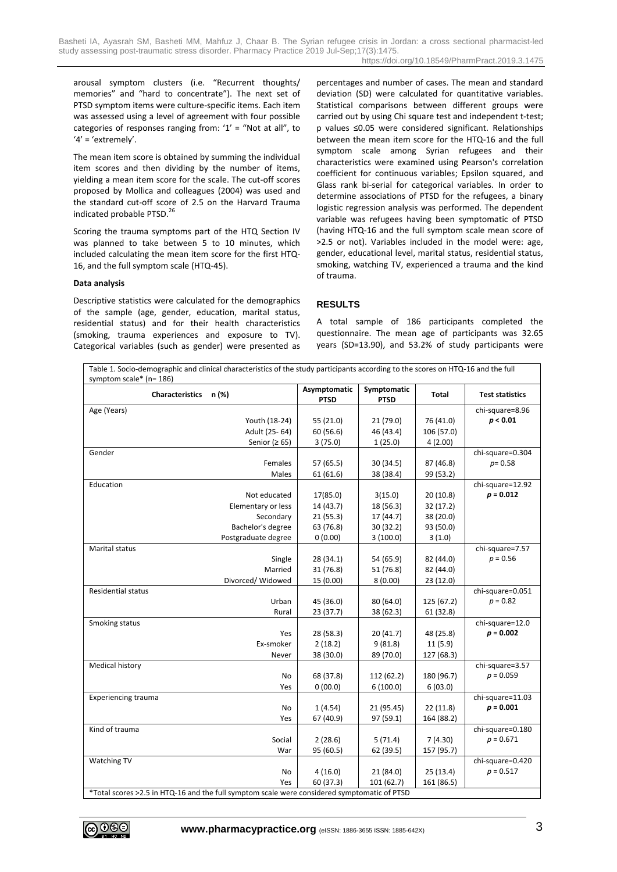arousal symptom clusters (i.e. "Recurrent thoughts/ memories" and "hard to concentrate"). The next set of PTSD symptom items were culture-specific items. Each item was assessed using a level of agreement with four possible categories of responses ranging from: ' $1'$  = "Not at all", to '4' = 'extremely'.

The mean item score is obtained by summing the individual item scores and then dividing by the number of items, yielding a mean item score for the scale. The cut-off scores proposed by Mollica and colleagues (2004) was used and the standard cut-off score of 2.5 on the Harvard Trauma indicated probable PTSD.<sup>26</sup>

Scoring the trauma symptoms part of the HTQ Section IV was planned to take between 5 to 10 minutes, which included calculating the mean item score for the first HTQ-16, and the full symptom scale (HTQ-45).

#### **Data analysis**

Descriptive statistics were calculated for the demographics of the sample (age, gender, education, marital status, residential status) and for their health characteristics (smoking, trauma experiences and exposure to TV). Categorical variables (such as gender) were presented as

percentages and number of cases. The mean and standard deviation (SD) were calculated for quantitative variables. Statistical comparisons between different groups were carried out by using Chi square test and independent t-test; p values ≤0.05 were considered significant. Relationships between the mean item score for the HTQ-16 and the full symptom scale among Syrian refugees and their characteristics were examined using Pearson's correlation coefficient for continuous variables; Epsilon squared, and Glass rank bi-serial for categorical variables. In order to determine associations of PTSD for the refugees, a binary logistic regression analysis was performed. The dependent variable was refugees having been symptomatic of PTSD (having HTQ-16 and the full symptom scale mean score of >2.5 or not). Variables included in the model were: age, gender, educational level, marital status, residential status, smoking, watching TV, experienced a trauma and the kind of trauma.

## **RESULTS**

A total sample of 186 participants completed the questionnaire. The mean age of participants was 32.65 years (SD=13.90), and 53.2% of study participants were

| <b>Characteristics</b> | n (%)                | Asymptomatic<br><b>PTSD</b> | Symptomatic<br><b>PTSD</b> | Total      | <b>Test statistics</b> |
|------------------------|----------------------|-----------------------------|----------------------------|------------|------------------------|
| Age (Years)            |                      |                             |                            |            | chi-square=8.96        |
|                        | Youth (18-24)        | 55 (21.0)                   | 21 (79.0)                  | 76 (41.0)  | p < 0.01               |
|                        | Adult (25-64)        | 60 (56.6)                   | 46 (43.4)                  | 106 (57.0) |                        |
|                        | Senior ( $\geq 65$ ) | 3(75.0)                     | 1(25.0)                    | 4(2.00)    |                        |
| Gender                 |                      |                             |                            |            | chi-square=0.304       |
|                        | Females              | 57 (65.5)                   | 30 (34.5)                  | 87 (46.8)  | $p = 0.58$             |
|                        | Males                | 61 (61.6)                   | 38 (38.4)                  | 99 (53.2)  |                        |
| Education              |                      |                             |                            |            | chi-square=12.92       |
|                        | Not educated         | 17(85.0)                    | 3(15.0)                    | 20(10.8)   | $p = 0.012$            |
|                        | Elementary or less   | 14 (43.7)                   | 18 (56.3)                  | 32 (17.2)  |                        |
|                        | Secondary            | 21(55.3)                    | 17 (44.7)                  | 38 (20.0)  |                        |
|                        | Bachelor's degree    | 63 (76.8)                   | 30 (32.2)                  | 93 (50.0)  |                        |
|                        | Postgraduate degree  | 0(0.00)                     | 3(100.0)                   | 3(1.0)     |                        |
| Marital status         |                      |                             |                            |            | chi-square=7.57        |
|                        | Single               | 28 (34.1)                   | 54 (65.9)                  | 82 (44.0)  | $p = 0.56$             |
|                        | Married              | 31 (76.8)                   | 51 (76.8)                  | 82 (44.0)  |                        |
|                        | Divorced/ Widowed    | 15 (0.00)                   | 8(0.00)                    | 23 (12.0)  |                        |
| Residential status     |                      |                             |                            |            | chi-square=0.051       |
|                        | Urban                | 45 (36.0)                   | 80 (64.0)                  | 125 (67.2) | $p = 0.82$             |
|                        | Rural                | 23(37.7)                    | 38 (62.3)                  | 61 (32.8)  |                        |
| Smoking status         |                      |                             |                            |            | chi-square=12.0        |
|                        | Yes                  | 28 (58.3)                   | 20 (41.7)                  | 48 (25.8)  | $p = 0.002$            |
|                        | Ex-smoker            | 2(18.2)                     | 9(81.8)                    | 11(5.9)    |                        |
|                        | Never                | 38 (30.0)                   | 89 (70.0)                  | 127 (68.3) |                        |
| <b>Medical history</b> |                      |                             |                            |            | chi-square=3.57        |
|                        | No                   | 68 (37.8)                   | 112 (62.2)                 | 180 (96.7) | $p = 0.059$            |
|                        | Yes                  | 0(00.0)                     | 6(100.0)                   | 6(03.0)    |                        |
| Experiencing trauma    |                      |                             |                            |            | chi-square=11.03       |
|                        | No                   | 1(4.54)                     | 21 (95.45)                 | 22(11.8)   | $p = 0.001$            |
|                        | Yes                  | 67 (40.9)                   | 97 (59.1)                  | 164 (88.2) |                        |
| Kind of trauma         |                      |                             |                            |            | chi-square=0.180       |
|                        | Social               | 2(28.6)                     | 5(71.4)                    | 7(4.30)    | $p = 0.671$            |
|                        | War                  | 95 (60.5)                   | 62 (39.5)                  | 157 (95.7) |                        |
| <b>Watching TV</b>     |                      |                             |                            |            | chi-square=0.420       |
|                        | No                   | 4(16.0)                     | 21 (84.0)                  | 25 (13.4)  | $p = 0.517$            |
|                        | Yes                  | 60 (37.3)                   | 101 (62.7)                 | 161 (86.5) |                        |

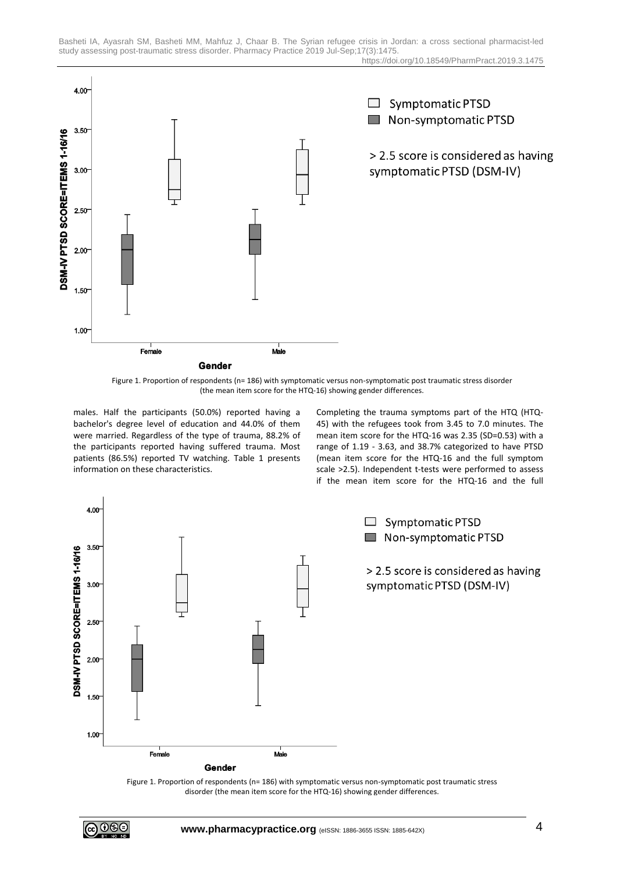

Figure 1. Proportion of respondents (n= 186) with symptomatic versus non-symptomatic post traumatic stress disorder (the mean item score for the HTQ-16) showing gender differences.

males. Half the participants (50.0%) reported having a bachelor's degree level of education and 44.0% of them were married. Regardless of the type of trauma, 88.2% of the participants reported having suffered trauma. Most patients (86.5%) reported TV watching. Table 1 presents information on these characteristics.

Completing the trauma symptoms part of the HTQ (HTQ-45) with the refugees took from 3.45 to 7.0 minutes. The mean item score for the HTQ-16 was 2.35 (SD=0.53) with a range of 1.19 - 3.63, and 38.7% categorized to have PTSD (mean item score for the HTQ-16 and the full symptom scale >2.5). Independent t-tests were performed to assess if the mean item score for the HTQ-16 and the full



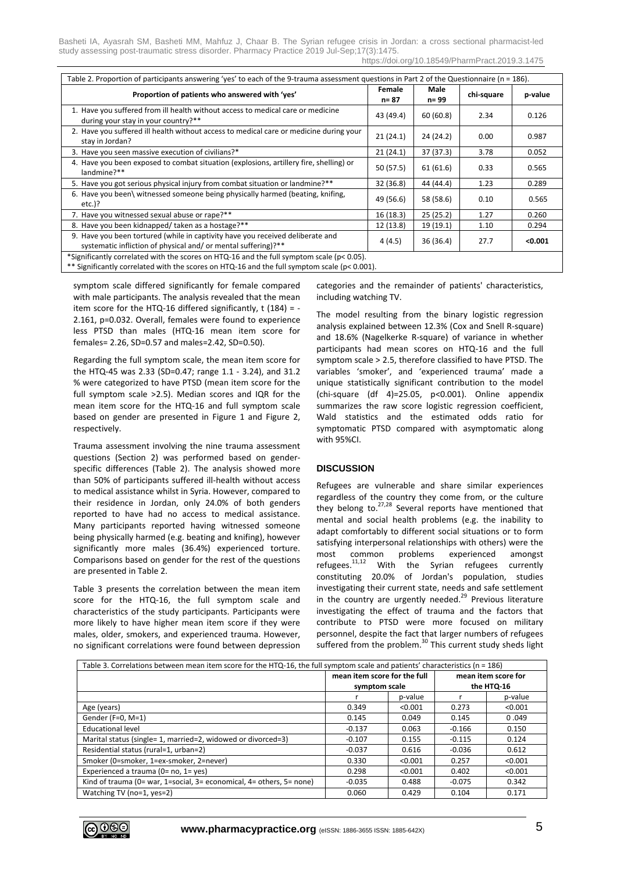| https://doi.org/10.18549/PharmPract.2019.3.1475 |  |  |  |
|-------------------------------------------------|--|--|--|
|-------------------------------------------------|--|--|--|

| Table 2. Proportion of participants answering 'yes' to each of the 9-trauma assessment questions in Part 2 of the Questionnaire (n = 186).       |           |                      |            |         |
|--------------------------------------------------------------------------------------------------------------------------------------------------|-----------|----------------------|------------|---------|
| Proportion of patients who answered with 'yes'                                                                                                   |           | <b>Male</b><br>n= 99 | chi-square | p-value |
| 1. Have you suffered from ill health without access to medical care or medicine<br>during your stay in your country?**                           | 43 (49.4) | 60(60.8)             | 2.34       | 0.126   |
| 2. Have you suffered ill health without access to medical care or medicine during your<br>stay in Jordan?                                        | 21(24.1)  | 24 (24.2)            | 0.00       | 0.987   |
| 3. Have you seen massive execution of civilians?*                                                                                                | 21(24.1)  | 37 (37.3)            | 3.78       | 0.052   |
| 4. Have you been exposed to combat situation (explosions, artillery fire, shelling) or<br>landmine?**                                            | 50 (57.5) | 61(61.6)             | 0.33       | 0.565   |
| 5. Have you got serious physical injury from combat situation or landmine?**                                                                     | 32 (36.8) | 44 (44.4)            | 1.23       | 0.289   |
| 6. Have you been\ witnessed someone being physically harmed (beating, knifing,<br>$etc.$ )?                                                      | 49 (56.6) | 58 (58.6)            | 0.10       | 0.565   |
| 7. Have you witnessed sexual abuse or rape?**                                                                                                    | 16(18.3)  | 25(25.2)             | 1.27       | 0.260   |
| 8. Have you been kidnapped/ taken as a hostage?**                                                                                                | 12 (13.8) | 19 (19.1)            | 1.10       | 0.294   |
| 9. Have you been tortured (while in captivity have you received deliberate and<br>systematic infliction of physical and/ or mental suffering)?** | 4(4.5)    | 36 (36.4)            | 27.7       | < 0.001 |
| *Significantly correlated with the scores on HTQ-16 and the full symptom scale (p< 0.05).                                                        |           |                      |            |         |
| ** Significantly correlated with the scores on HTQ-16 and the full symptom scale (p< 0.001).                                                     |           |                      |            |         |

symptom scale differed significantly for female compared with male participants. The analysis revealed that the mean item score for the HTQ-16 differed significantly, t  $(184) = -$ 2.161, p=0.032. Overall, females were found to experience less PTSD than males (HTQ-16 mean item score for females= 2.26, SD=0.57 and males=2.42, SD=0.50).

Regarding the full symptom scale, the mean item score for the HTQ-45 was 2.33 (SD=0.47; range 1.1 - 3.24), and 31.2 % were categorized to have PTSD (mean item score for the full symptom scale >2.5). Median scores and IQR for the mean item score for the HTQ-16 and full symptom scale based on gender are presented in Figure 1 and Figure 2, respectively.

Trauma assessment involving the nine trauma assessment questions (Section 2) was performed based on genderspecific differences (Table 2). The analysis showed more than 50% of participants suffered ill-health without access to medical assistance whilst in Syria. However, compared to their residence in Jordan, only 24.0% of both genders reported to have had no access to medical assistance. Many participants reported having witnessed someone being physically harmed (e.g. beating and knifing), however significantly more males (36.4%) experienced torture. Comparisons based on gender for the rest of the questions are presented in Table 2.

Table 3 presents the correlation between the mean item score for the HTQ-16, the full symptom scale and characteristics of the study participants. Participants were more likely to have higher mean item score if they were males, older, smokers, and experienced trauma. However, no significant correlations were found between depression categories and the remainder of patients' characteristics, including watching TV.

The model resulting from the binary logistic regression analysis explained between 12.3% (Cox and Snell R-square) and 18.6% (Nagelkerke R-square) of variance in whether participants had mean scores on HTQ-16 and the full symptom scale > 2.5, therefore classified to have PTSD. The variables 'smoker', and 'experienced trauma' made a unique statistically significant contribution to the model (chi-square (df 4)=25.05, p<0.001). Online appendix summarizes the raw score logistic regression coefficient, Wald statistics and the estimated odds ratio for symptomatic PTSD compared with asymptomatic along with 95%CI.

#### **DISCUSSION**

Refugees are vulnerable and share similar experiences regardless of the country they come from, or the culture they belong to. $27,28$  Several reports have mentioned that mental and social health problems (e.g. the inability to adapt comfortably to different social situations or to form satisfying interpersonal relationships with others) were the most common problems experienced amongst<br>refugees.<sup>11,12</sup> With the Syrian refugees currently With the Syrian refugees currently constituting 20.0% of Jordan's population, studies investigating their current state, needs and safe settlement in the country are urgently needed. $^{29}$  Previous literature investigating the effect of trauma and the factors that contribute to PTSD were more focused on military personnel, despite the fact that larger numbers of refugees suffered from the problem.<sup>30</sup> This current study sheds light

| Table 3. Correlations between mean item score for the HTQ-16, the full symptom scale and patients' characteristics (n = 186) |                              |         |                     |         |  |
|------------------------------------------------------------------------------------------------------------------------------|------------------------------|---------|---------------------|---------|--|
|                                                                                                                              | mean item score for the full |         | mean item score for |         |  |
|                                                                                                                              | symptom scale                |         | the HTO 16          |         |  |
|                                                                                                                              |                              | p-value |                     | p-value |  |
| Age (years)                                                                                                                  | 0.349                        | < 0.001 | 0.273               | < 0.001 |  |
| Gender ( $F=0$ , $M=1$ )                                                                                                     | 0.145                        | 0.049   | 0.145               | 0.049   |  |
| <b>Educational level</b>                                                                                                     | $-0.137$                     | 0.063   | $-0.166$            | 0.150   |  |
| Marital status (single= 1, married=2, widowed or divorced=3)                                                                 | $-0.107$                     | 0.155   | $-0.115$            | 0.124   |  |
| Residential status (rural=1, urban=2)                                                                                        | $-0.037$                     | 0.616   | $-0.036$            | 0.612   |  |
| Smoker (0=smoker, 1=ex-smoker, 2=never)                                                                                      | 0.330                        | < 0.001 | 0.257               | < 0.001 |  |
| Experienced a trauma (0= no, 1= yes)                                                                                         | 0.298                        | < 0.001 | 0.402               | < 0.001 |  |
| Kind of trauma (0= war, 1=social, 3= economical, 4= others, 5= none)                                                         | $-0.035$                     | 0.488   | $-0.075$            | 0.342   |  |
| Watching TV (no=1, yes=2)                                                                                                    | 0.060                        | 0.429   | 0.104               | 0.171   |  |

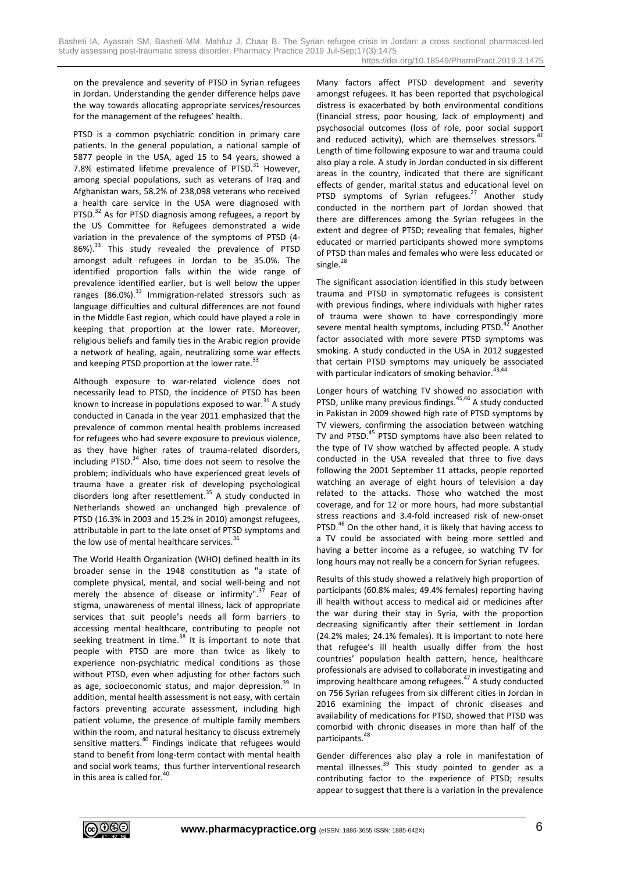on the prevalence and severity of PTSD in Syrian refugees in Jordan. Understanding the gender difference helps pave the way towards allocating appropriate services/resources for the management of the refugees' health.

PTSD is a common psychiatric condition in primary care patients. In the general population, a national sample of 5877 people in the USA, aged 15 to 54 years, showed a 7.8% estimated lifetime prevalence of PTSD.<sup>31</sup> However, among special populations, such as veterans of Iraq and Afghanistan wars, 58.2% of 238,098 veterans who received a health care service in the USA were diagnosed with PTSD.<sup>32</sup> As for PTSD diagnosis among refugees, a report by the US Committee for Refugees demonstrated a wide variation in the prevalence of the symptoms of PTSD (4- 86%).<sup>33</sup> This study revealed the prevalence of PTSD amongst adult refugees in Jordan to be 35.0%. The identified proportion falls within the wide range of prevalence identified earlier, but is well below the upper ranges (86.0%).<sup>33</sup> Immigration-related stressors such as language difficulties and cultural differences are not found in the Middle East region, which could have played a role in keeping that proportion at the lower rate. Moreover, religious beliefs and family ties in the Arabic region provide a network of healing, again, neutralizing some war effects and keeping PTSD proportion at the lower rate.<sup>33</sup>

Although exposure to war-related violence does not necessarily lead to PTSD, the incidence of PTSD has been known to increase in populations exposed to war. $31$  A study conducted in Canada in the year 2011 emphasized that the prevalence of common mental health problems increased for refugees who had severe exposure to previous violence, as they have higher rates of trauma-related disorders, including PTSD.<sup>34</sup> Also, time does not seem to resolve the problem; individuals who have experienced great levels of trauma have a greater risk of developing psychological disorders long after resettlement.<sup>35</sup> A study conducted in Netherlands showed an unchanged high prevalence of PTSD (16.3% in 2003 and 15.2% in 2010) amongst refugees, attributable in part to the late onset of PTSD symptoms and the low use of mental healthcare services.<sup>36</sup>

The World Health Organization (WHO) defined health in its broader sense in the 1948 constitution as "a state of complete physical, mental, and social well-being and not merely the absence of disease or infirmity".<sup>37</sup> Fear of stigma, unawareness of mental illness, lack of appropriate services that suit people's needs all form barriers to accessing mental healthcare, contributing to people not seeking treatment in time.<sup>38</sup> It is important to note that people with PTSD are more than twice as likely to experience non-psychiatric medical conditions as those without PTSD, even when adjusting for other factors such as age, socioeconomic status, and major depression.<sup>39</sup> In addition, mental health assessment is not easy, with certain factors preventing accurate assessment, including high patient volume, the presence of multiple family members within the room, and natural hesitancy to discuss extremely sensitive matters.<sup>40</sup> Findings indicate that refugees would stand to benefit from long-term contact with mental health and social work teams, thus further interventional research in this area is called for.<sup>40</sup>

Many factors affect PTSD development and severity amongst refugees. It has been reported that psychological distress is exacerbated by both environmental conditions (financial stress, poor housing, lack of employment) and psychosocial outcomes (loss of role, poor social support and reduced activity), which are themselves stressors.<sup>4</sup> Length of time following exposure to war and trauma could also play a role. A study in Jordan conducted in six different areas in the country, indicated that there are significant effects of gender, marital status and educational level on PTSD symptoms of Syrian refugees.<sup>27</sup> Another study conducted in the northern part of Jordan showed that there are differences among the Syrian refugees in the extent and degree of PTSD; revealing that females, higher educated or married participants showed more symptoms of PTSD than males and females who were less educated or single.<sup>28</sup>

The significant association identified in this study between trauma and PTSD in symptomatic refugees is consistent with previous findings, where individuals with higher rates of trauma were shown to have correspondingly more severe mental health symptoms, including PTSD.<sup>42</sup> Another factor associated with more severe PTSD symptoms was smoking. A study conducted in the USA in 2012 suggested that certain PTSD symptoms may uniquely be associated with particular indicators of smoking behavior.  $43,44$ 

Longer hours of watching TV showed no association with PTSD, unlike many previous findings.<sup>45,46</sup> A study conducted in Pakistan in 2009 showed high rate of PTSD symptoms by TV viewers, confirming the association between watching TV and PTSD.<sup>45</sup> PTSD symptoms have also been related to the type of TV show watched by affected people. A study conducted in the USA revealed that three to five days following the 2001 September 11 attacks, people reported watching an average of eight hours of television a day related to the attacks. Those who watched the most coverage, and for 12 or more hours, had more substantial stress reactions and 3.4-fold increased risk of new-onset PTSD.<sup>46</sup> On the other hand, it is likely that having access to a TV could be associated with being more settled and having a better income as a refugee, so watching TV for long hours may not really be a concern for Syrian refugees.

Results of this study showed a relatively high proportion of participants (60.8% males; 49.4% females) reporting having ill health without access to medical aid or medicines after the war during their stay in Syria, with the proportion decreasing significantly after their settlement in Jordan (24.2% males; 24.1% females). It is important to note here that refugee's ill health usually differ from the host countries' population health pattern, hence, healthcare professionals are advised to collaborate in investigating and improving healthcare among refugees.<sup>47</sup> A study conducted on 756 Syrian refugees from six different cities in Jordan in 2016 examining the impact of chronic diseases and availability of medications for PTSD, showed that PTSD was comorbid with chronic diseases in more than half of the participants.<sup>48</sup>

Gender differences also play a role in manifestation of mental illnesses.<sup>39</sup> This study pointed to gender as a contributing factor to the experience of PTSD; results appear to suggest that there is a variation in the prevalence

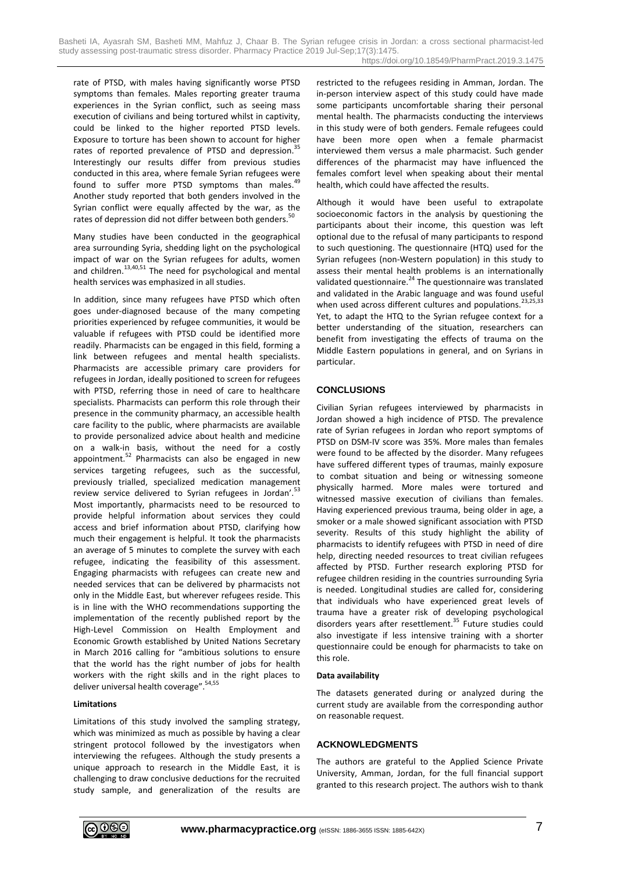rate of PTSD, with males having significantly worse PTSD symptoms than females. Males reporting greater trauma experiences in the Syrian conflict, such as seeing mass execution of civilians and being tortured whilst in captivity, could be linked to the higher reported PTSD levels. Exposure to torture has been shown to account for higher rates of reported prevalence of PTSD and depression.<sup>35</sup> Interestingly our results differ from previous studies conducted in this area, where female Syrian refugees were found to suffer more PTSD symptoms than males.<sup>49</sup> Another study reported that both genders involved in the Syrian conflict were equally affected by the war, as the rates of depression did not differ between both genders.<sup>50</sup>

Many studies have been conducted in the geographical area surrounding Syria, shedding light on the psychological impact of war on the Syrian refugees for adults, women and children.<sup>13,40,51</sup> The need for psychological and mental health services was emphasized in all studies.

In addition, since many refugees have PTSD which often goes under-diagnosed because of the many competing priorities experienced by refugee communities, it would be valuable if refugees with PTSD could be identified more readily. Pharmacists can be engaged in this field, forming a link between refugees and mental health specialists. Pharmacists are accessible primary care providers for refugees in Jordan, ideally positioned to screen for refugees with PTSD, referring those in need of care to healthcare specialists. Pharmacists can perform this role through their presence in the community pharmacy, an accessible health care facility to the public, where pharmacists are available to provide personalized advice about health and medicine on a walk-in basis, without the need for a costly appointment.<sup>52</sup> Pharmacists can also be engaged in new services targeting refugees, such as the successful, previously trialled, specialized medication management review service delivered to Syrian refugees in Jordan'.<sup>53</sup> Most importantly, pharmacists need to be resourced to provide helpful information about services they could access and brief information about PTSD, clarifying how much their engagement is helpful. It took the pharmacists an average of 5 minutes to complete the survey with each refugee, indicating the feasibility of this assessment. Engaging pharmacists with refugees can create new and needed services that can be delivered by pharmacists not only in the Middle East, but wherever refugees reside. This is in line with the WHO recommendations supporting the implementation of the recently published report by the High-Level Commission on Health Employment and Economic Growth established by United Nations Secretary in March 2016 calling for "ambitious solutions to ensure that the world has the right number of jobs for health workers with the right skills and in the right places to deliver universal health coverage".<sup>54,55</sup>

#### **Limitations**

Limitations of this study involved the sampling strategy, which was minimized as much as possible by having a clear stringent protocol followed by the investigators when interviewing the refugees. Although the study presents a unique approach to research in the Middle East, it is challenging to draw conclusive deductions for the recruited study sample, and generalization of the results are restricted to the refugees residing in Amman, Jordan. The in-person interview aspect of this study could have made some participants uncomfortable sharing their personal mental health. The pharmacists conducting the interviews in this study were of both genders. Female refugees could have been more open when a female pharmacist interviewed them versus a male pharmacist. Such gender differences of the pharmacist may have influenced the females comfort level when speaking about their mental health, which could have affected the results.

Although it would have been useful to extrapolate socioeconomic factors in the analysis by questioning the participants about their income, this question was left optional due to the refusal of many participants to respond to such questioning. The questionnaire (HTQ) used for the Syrian refugees (non-Western population) in this study to assess their mental health problems is an internationally validated questionnaire.<sup>24</sup> The questionnaire was translated and validated in the Arabic language and was found useful when used across different cultures and populations.<sup>23,25,33</sup> Yet, to adapt the HTQ to the Syrian refugee context for a better understanding of the situation, researchers can benefit from investigating the effects of trauma on the Middle Eastern populations in general, and on Syrians in particular.

## **CONCLUSIONS**

Civilian Syrian refugees interviewed by pharmacists in Jordan showed a high incidence of PTSD. The prevalence rate of Syrian refugees in Jordan who report symptoms of PTSD on DSM-IV score was 35%. More males than females were found to be affected by the disorder. Many refugees have suffered different types of traumas, mainly exposure to combat situation and being or witnessing someone physically harmed. More males were tortured and witnessed massive execution of civilians than females. Having experienced previous trauma, being older in age, a smoker or a male showed significant association with PTSD severity. Results of this study highlight the ability of pharmacists to identify refugees with PTSD in need of dire help, directing needed resources to treat civilian refugees affected by PTSD. Further research exploring PTSD for refugee children residing in the countries surrounding Syria is needed. Longitudinal studies are called for, considering that individuals who have experienced great levels of trauma have a greater risk of developing psychological disorders years after resettlement.<sup>35</sup> Future studies could also investigate if less intensive training with a shorter questionnaire could be enough for pharmacists to take on this role.

#### **Data availability**

The datasets generated during or analyzed during the current study are available from the corresponding author on reasonable request.

#### **ACKNOWLEDGMENTS**

The authors are grateful to the Applied Science Private University, Amman, Jordan, for the full financial support granted to this research project. The authors wish to thank

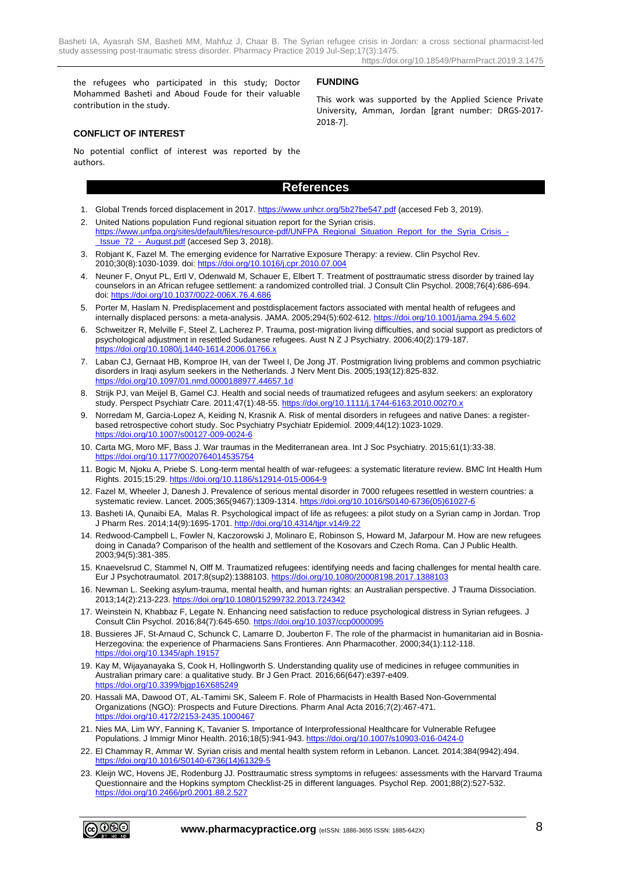**FUNDING**

2018-7].

This work was supported by the Applied Science Private University, Amman, Jordan [grant number: DRGS-2017-

the refugees who participated in this study; Doctor Mohammed Basheti and Aboud Foude for their valuable contribution in the study.

## **CONFLICT OF INTEREST**

No potential conflict of interest was reported by the authors.

## **References**

- 1. Global Trends forced displacement in 2017.<https://www.unhcr.org/5b27be547.pdf> (accesed Feb 3, 2019).
- 2. United Nations population Fund regional situation report for the Syrian crisis. [https://www.unfpa.org/sites/default/files/resource-pdf/UNFPA\\_Regional\\_Situation\\_Report\\_for\\_the\\_Syria\\_Crisis\\_-](https://www.unfpa.org/sites/default/files/resource-pdf/UNFPA_Regional_Situation_Report_for_the_Syria_Crisis_-_Issue_72_-_August.pdf) Issue\_72\_-\_August.pdf (accesed Sep 3, 2018).
- 3. Robjant K, Fazel M. The emerging evidence for Narrative Exposure Therapy: a review. Clin Psychol Rev. 2010;30(8):1030-1039. doi:<https://doi.org/10.1016/j.cpr.2010.07.004>
- 4. Neuner F, Onyut PL, Ertl V, Odenwald M, Schauer E, Elbert T. Treatment of posttraumatic stress disorder by trained lay counselors in an African refugee settlement: a randomized controlled trial. J Consult Clin Psychol. 2008;76(4):686-694. doi[: https://doi.org/10.1037/0022-006X.76.4.686](https://doi.org/10.1037/0022-006X.76.4.686)
- 5. Porter M, Haslam N. Predisplacement and postdisplacement factors associated with mental health of refugees and internally displaced persons: a meta-analysis. JAMA. 2005;294(5):602-612.<https://doi.org/10.1001/jama.294.5.602>
- 6. Schweitzer R, Melville F, Steel Z, Lacherez P. Trauma, post-migration living difficulties, and social support as predictors of psychological adjustment in resettled Sudanese refugees. Aust N Z J Psychiatry. 2006;40(2):179-187. <https://doi.org/10.1080/j.1440-1614.2006.01766.x>
- 7. Laban CJ, Gernaat HB, Komproe IH, van der Tweel I, De Jong JT. Postmigration living problems and common psychiatric disorders in Iraqi asylum seekers in the Netherlands. J Nerv Ment Dis. 2005;193(12):825-832. <https://doi.org/10.1097/01.nmd.0000188977.44657.1d>
- 8. Strijk PJ, van Meijel B, Gamel CJ. Health and social needs of traumatized refugees and asylum seekers: an exploratory study. Perspect Psychiatr Care. 2011;47(1):48-55[. https://doi.org/10.1111/j.1744-6163.2010.00270.x](https://doi.org/10.1111/j.1744-6163.2010.00270.x)
- 9. Norredam M, Garcia-Lopez A, Keiding N, Krasnik A. Risk of mental disorders in refugees and native Danes: a registerbased retrospective cohort study. Soc Psychiatry Psychiatr Epidemiol. 2009;44(12):1023-1029. <https://doi.org/10.1007/s00127-009-0024-6>
- 10. Carta MG, Moro MF, Bass J. War traumas in the Mediterranean area. Int J Soc Psychiatry. 2015;61(1):33-38. <https://doi.org/10.1177/0020764014535754>
- 11. Bogic M, Njoku A, Priebe S. Long-term mental health of war-refugees: a systematic literature review. BMC Int Health Hum Rights. 2015;15:29.<https://doi.org/10.1186/s12914-015-0064-9>
- 12. Fazel M, Wheeler J, Danesh J. Prevalence of serious mental disorder in 7000 refugees resettled in western countries: a systematic review. Lancet. 2005;365(9467):1309-1314[. https://doi.org/10.1016/S0140-6736\(05\)61027-6](https://doi.org/10.1016/S0140-6736(05)61027-6)
- 13. Basheti IA, Qunaibi EA, Malas R. Psychological impact of life as refugees: a pilot study on a Syrian camp in Jordan. Trop J Pharm Res. 2014;14(9):1695-1701. <http://doi.org/10.4314/tjpr.v14i9.22>
- 14. Redwood-Campbell L, Fowler N, Kaczorowski J, Molinaro E, Robinson S, Howard M, Jafarpour M. How are new refugees doing in Canada? Comparison of the health and settlement of the Kosovars and Czech Roma. Can J Public Health. 2003;94(5):381-385.
- 15. Knaevelsrud C, Stammel N, Olff M. Traumatized refugees: identifying needs and facing challenges for mental health care. Eur J Psychotraumatol. 2017;8(sup2):1388103. https://doi.org/10.1080/20008198.2017
- 16. Newman L. Seeking asylum-trauma, mental health, and human rights: an Australian perspective. J Trauma Dissociation. 2013;14(2):213-223.<https://doi.org/10.1080/15299732.2013.724342>
- 17. Weinstein N, Khabbaz F, Legate N. Enhancing need satisfaction to reduce psychological distress in Syrian refugees. J Consult Clin Psychol. 2016;84(7):645-650. https://doi.org/10.1037/ccp0
- 18. Bussieres JF, St-Arnaud C, Schunck C, Lamarre D, Jouberton F. The role of the pharmacist in humanitarian aid in Bosnia-Herzegovina: the experience of Pharmaciens Sans Frontieres. Ann Pharmacother. 2000;34(1):112-118. <https://doi.org/10.1345/aph.19157>
- 19. Kay M, Wijayanayaka S, Cook H, Hollingworth S. Understanding quality use of medicines in refugee communities in Australian primary care: a qualitative study. Br J Gen Pract. 2016;66(647):e397-e409. <https://doi.org/10.3399/bjgp16X685249>
- 20. Hassali MA, Dawood OT, AL-Tamimi SK, Saleem F. Role of Pharmacists in Health Based Non-Governmental Organizations (NGO): Prospects and Future Directions. Pharm Anal Acta 2016;7(2):467-471. <https://doi.org/10.4172/2153-2435.1000467>
- 21. Nies MA, Lim WY, Fanning K, Tavanier S. Importance of Interprofessional Healthcare for Vulnerable Refugee Populations. J Immigr Minor Health. 2016;18(5):941-943.<https://doi.org/10.1007/s10903-016-0424-0>
- 22. El Chammay R, Ammar W. Syrian crisis and mental health system reform in Lebanon. Lancet. 2014;384(9942):494. [https://doi.org/10.1016/S0140-6736\(14\)61329-5](https://doi.org/10.1016/S0140-6736(14)61329-5)
- 23. Kleijn WC, Hovens JE, Rodenburg JJ. Posttraumatic stress symptoms in refugees: assessments with the Harvard Trauma Questionnaire and the Hopkins symptom Checklist-25 in different languages. Psychol Rep. 2001;88(2):527-532. <https://doi.org/10.2466/pr0.2001.88.2.527>

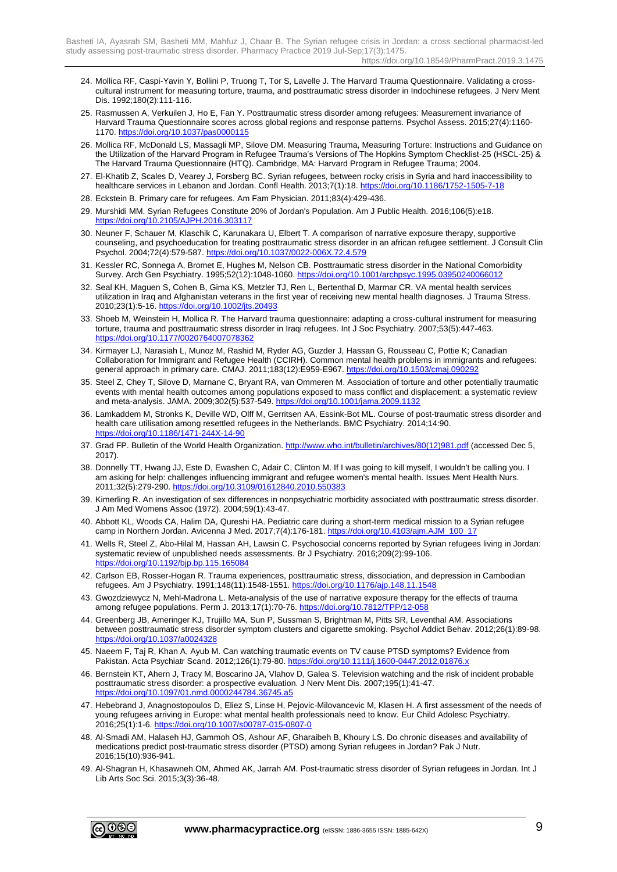- 24. Mollica RF, Caspi-Yavin Y, Bollini P, Truong T, Tor S, Lavelle J. The Harvard Trauma Questionnaire. Validating a crosscultural instrument for measuring torture, trauma, and posttraumatic stress disorder in Indochinese refugees. J Nerv Ment Dis. 1992;180(2):111-116.
- 25. Rasmussen A, Verkuilen J, Ho E, Fan Y. Posttraumatic stress disorder among refugees: Measurement invariance of Harvard Trauma Questionnaire scores across global regions and response patterns. Psychol Assess. 2015;27(4):1160- 1170[. https://doi.org/10.1037/pas0000115](https://doi.org/10.1037/pas0000115)
- 26. Mollica RF, McDonald LS, Massagli MP, Silove DM. Measuring Trauma, Measuring Torture: Instructions and Guidance on the Utilization of the Harvard Program in Refugee Trauma's Versions of The Hopkins Symptom Checklist-25 (HSCL-25) & The Harvard Trauma Questionnaire (HTQ). Cambridge, MA: Harvard Program in Refugee Trauma; 2004.
- 27. El-Khatib Z, Scales D, Vearey J, Forsberg BC. Syrian refugees, between rocky crisis in Syria and hard inaccessibility to healthcare services in Lebanon and Jordan. Confl Health. 2013;7(1):18. <https://doi.org/10.1186/1752-1505-7-18>
- 28. Eckstein B. Primary care for refugees. Am Fam Physician. 2011;83(4):429-436.
- 29. Murshidi MM. Syrian Refugees Constitute 20% of Jordan's Population. Am J Public Health. 2016;106(5):e18. <https://doi.org/10.2105/AJPH.2016.303117>
- 30. Neuner F, Schauer M, Klaschik C, Karunakara U, Elbert T. A comparison of narrative exposure therapy, supportive counseling, and psychoeducation for treating posttraumatic stress disorder in an african refugee settlement. J Consult Clin Psychol. 2004;72(4):579-587[. https://doi.org/10.1037/0022-006X.72.4.579](https://doi.org/10.1037/0022-006X.72.4.579)
- 31. Kessler RC, Sonnega A, Bromet E, Hughes M, Nelson CB. Posttraumatic stress disorder in the National Comorbidity Survey. Arch Gen Psychiatry. 1995;52(12):1048-1060.<https://doi.org/10.1001/archpsyc.1995.03950240066012>
- 32. Seal KH, Maguen S, Cohen B, Gima KS, Metzler TJ, Ren L, Bertenthal D, Marmar CR. VA mental health services utilization in Iraq and Afghanistan veterans in the first year of receiving new mental health diagnoses. J Trauma Stress. 2010;23(1):5-16[. https://doi.org/10.1002/jts.20493](https://doi.org/10.1002/jts.20493)
- 33. Shoeb M, Weinstein H, Mollica R. The Harvard trauma questionnaire: adapting a cross-cultural instrument for measuring torture, trauma and posttraumatic stress disorder in Iraqi refugees. Int J Soc Psychiatry. 2007;53(5):447-463. <https://doi.org/10.1177/0020764007078362>
- 34. Kirmayer LJ, Narasiah L, Munoz M, Rashid M, Ryder AG, Guzder J, Hassan G, Rousseau C, Pottie K; Canadian Collaboration for Immigrant and Refugee Health (CCIRH). Common mental health problems in immigrants and refugees: general approach in primary care. CMAJ. 2011;183(12):E959-E967. https://doi.org/10.1503/cmaj.09
- 35. Steel Z, Chey T, Silove D, Marnane C, Bryant RA, van Ommeren M. Association of torture and other potentially traumatic events with mental health outcomes among populations exposed to mass conflict and displacement: a systematic review and meta-analysis. JAMA. 2009;302(5):537-549[. https://doi.org/10.1001/jama.2009.1132](https://doi.org/10.1001/jama.2009.1132)
- 36. Lamkaddem M, Stronks K, Deville WD, Olff M, Gerritsen AA, Essink-Bot ML. Course of post-traumatic stress disorder and health care utilisation among resettled refugees in the Netherlands. BMC Psychiatry. 2014;14:90. <https://doi.org/10.1186/1471-244X-14-90>
- 37. Grad FP. Bulletin of the World Health Organization. [http://www.who.int/bulletin/archives/80\(12\)981.pdf](http://www.who.int/bulletin/archives/80(12)981.pdf) (accessed Dec 5, 2017).
- 38. Donnelly TT, Hwang JJ, Este D, Ewashen C, Adair C, Clinton M. If I was going to kill myself, I wouldn't be calling you. I am asking for help: challenges influencing immigrant and refugee women's mental health. Issues Ment Health Nurs. 2011;32(5):279-290. https://doi.org/10.3109/01612840.2010.
- 39. Kimerling R. An investigation of sex differences in nonpsychiatric morbidity associated with posttraumatic stress disorder. J Am Med Womens Assoc (1972). 2004;59(1):43-47.
- 40. Abbott KL, Woods CA, Halim DA, Qureshi HA. Pediatric care during a short-term medical mission to a Syrian refugee camp in Northern Jordan. Avicenna J Med. 2017;7(4):176-181[. https://doi.org/10.4103/ajm.AJM\\_100\\_17](https://doi.org/10.4103/ajm.AJM_100_17)
- 41. Wells R, Steel Z, Abo-Hilal M, Hassan AH, Lawsin C. Psychosocial concerns reported by Syrian refugees living in Jordan: systematic review of unpublished needs assessments. Br J Psychiatry. 2016;209(2):99-106. <https://doi.org/10.1192/bjp.bp.115.165084>
- 42. Carlson EB, Rosser-Hogan R. Trauma experiences, posttraumatic stress, dissociation, and depression in Cambodian refugees. Am J Psychiatry. 1991;148(11):1548-1551.<https://doi.org/10.1176/ajp.148.11.1548>
- 43. Gwozdziewycz N, Mehl-Madrona L. Meta-analysis of the use of narrative exposure therapy for the effects of trauma among refugee populations. Perm J. 2013;17(1):70-76. https://doi.org/10.7812/TPP/12-09
- 44. Greenberg JB, Ameringer KJ, Trujillo MA, Sun P, Sussman S, Brightman M, Pitts SR, Leventhal AM. Associations between posttraumatic stress disorder symptom clusters and cigarette smoking. Psychol Addict Behav. 2012;26(1):89-98. <https://doi.org/10.1037/a0024328>
- 45. Naeem F, Taj R, Khan A, Ayub M. Can watching traumatic events on TV cause PTSD symptoms? Evidence from Pakistan. Acta Psychiatr Scand. 2012;126(1):79-80. https://doi.org/10.1111/j.1600-0447.2012.01876
- 46. Bernstein KT, Ahern J, Tracy M, Boscarino JA, Vlahov D, Galea S. Television watching and the risk of incident probable posttraumatic stress disorder: a prospective evaluation. J Nerv Ment Dis. 2007;195(1):41-47. <https://doi.org/10.1097/01.nmd.0000244784.36745.a5>
- 47. Hebebrand J, Anagnostopoulos D, Eliez S, Linse H, Pejovic-Milovancevic M, Klasen H. A first assessment of the needs of young refugees arriving in Europe: what mental health professionals need to know. Eur Child Adolesc Psychiatry. 2016;25(1):1-6.<https://doi.org/10.1007/s00787-015-0807-0>
- 48. Al-Smadi AM, Halaseh HJ, Gammoh OS, Ashour AF, Gharaibeh B, Khoury LS. Do chronic diseases and availability of medications predict post-traumatic stress disorder (PTSD) among Syrian refugees in Jordan? Pak J Nutr. 2016;15(10):936-941.
- 49. Al-Shagran H, Khasawneh OM, Ahmed AK, Jarrah AM. Post-traumatic stress disorder of Syrian refugees in Jordan. Int J Lib Arts Soc Sci. 2015;3(3):36-48.